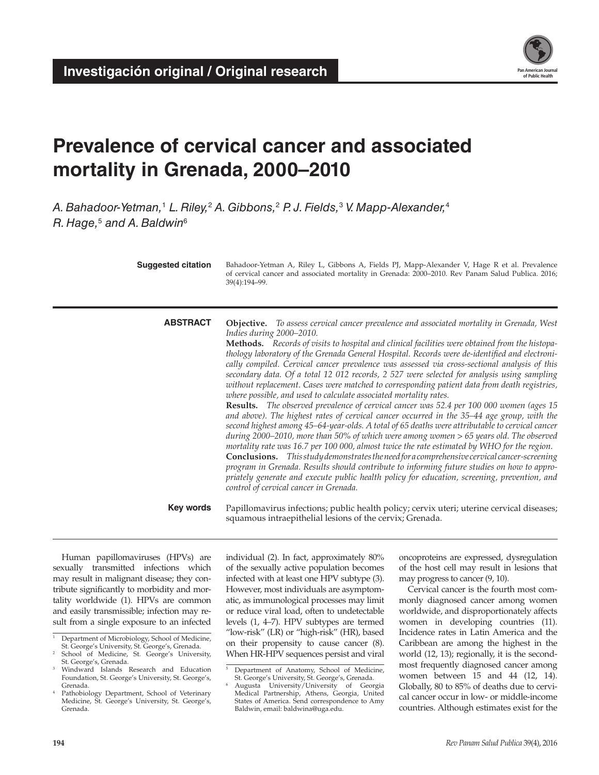

# **Prevalence of cervical cancer and associated mortality in Grenada, 2000–2010**

*A. Bahadoor-Yetman,*<sup>1</sup>  *L. Riley,*<sup>2</sup>  *A. Gibbons,*<sup>2</sup>  *P. J. Fields,*<sup>3</sup>  *V. Mapp-Alexander,*<sup>4</sup> *R. Hage,*<sup>5</sup>  *and A. Baldwin*<sup>6</sup>

| <b>Suggested citation</b> | Bahadoor-Yetman A, Riley L, Gibbons A, Fields PJ, Mapp-Alexander V, Hage R et al. Prevalence<br>of cervical cancer and associated mortality in Grenada: 2000-2010. Rev Panam Salud Publica. 2016;<br>39(4):194-99.                                                                                                                                                                                                                                                                                                                                                                                                                                                                                                                                                                                                                                                                                                                                                                                                                                                                                                                                                                                                                                                                                                                                                                                                                                                                                                                    |
|---------------------------|---------------------------------------------------------------------------------------------------------------------------------------------------------------------------------------------------------------------------------------------------------------------------------------------------------------------------------------------------------------------------------------------------------------------------------------------------------------------------------------------------------------------------------------------------------------------------------------------------------------------------------------------------------------------------------------------------------------------------------------------------------------------------------------------------------------------------------------------------------------------------------------------------------------------------------------------------------------------------------------------------------------------------------------------------------------------------------------------------------------------------------------------------------------------------------------------------------------------------------------------------------------------------------------------------------------------------------------------------------------------------------------------------------------------------------------------------------------------------------------------------------------------------------------|
| <b>ABSTRACT</b>           | <b>Objective.</b> To assess cervical cancer prevalence and associated mortality in Grenada, West<br>Indies during 2000-2010.<br><b>Methods.</b> Records of visits to hospital and clinical facilities were obtained from the histopa-<br>thology laboratory of the Grenada General Hospital. Records were de-identified and electroni-<br>cally compiled. Cervical cancer prevalence was assessed via cross-sectional analysis of this<br>secondary data. Of a total 12 012 records, 2 527 were selected for analysis using sampling<br>without replacement. Cases were matched to corresponding patient data from death registries,<br>where possible, and used to calculate associated mortality rates.<br>Results. The observed prevalence of cervical cancer was 52.4 per 100 000 women (ages 15<br>and above). The highest rates of cervical cancer occurred in the 35–44 age group, with the<br>second highest among 45-64-year-olds. A total of 65 deaths were attributable to cervical cancer<br>during 2000-2010, more than 50% of which were among women > 65 years old. The observed<br>mortality rate was 16.7 per 100 000, almost twice the rate estimated by WHO for the region.<br>Conclusions. This study demonstrates the need for a comprehensive cervical cancer-screening<br>program in Grenada. Results should contribute to informing future studies on how to appro-<br>priately generate and execute public health policy for education, screening, prevention, and<br>control of cervical cancer in Grenada. |
| Key words                 | Papillomavirus infections; public health policy; cervix uteri; uterine cervical diseases;<br>squamous intraepithelial lesions of the cervix; Grenada.                                                                                                                                                                                                                                                                                                                                                                                                                                                                                                                                                                                                                                                                                                                                                                                                                                                                                                                                                                                                                                                                                                                                                                                                                                                                                                                                                                                 |

Human papillomaviruses (HPVs) are sexually transmitted infections which may result in malignant disease; they contribute significantly to morbidity and mortality worldwide (1). HPVs are common and easily transmissible; infection may result from a single exposure to an infected

School of Medicine, St. George's University, St. George's, Grenada.

individual (2). In fact, approximately 80% of the sexually active population becomes infected with at least one HPV subtype (3). However, most individuals are asymptomatic, as immunological processes may limit or reduce viral load, often to undetectable levels (1, 4–7). HPV subtypes are termed "low-risk" (LR) or "high-risk" (HR), based on their propensity to cause cancer (8). When HR-HPV sequences persist and viral oncoproteins are expressed, dysregulation of the host cell may result in lesions that may progress to cancer (9, 10).

Cervical cancer is the fourth most commonly diagnosed cancer among women worldwide, and disproportionately affects women in developing countries (11). Incidence rates in Latin America and the Caribbean are among the highest in the world (12, 13); regionally, it is the secondmost frequently diagnosed cancer among women between 15 and 44 (12, 14). Globally, 80 to 85% of deaths due to cervical cancer occur in low- or middle-income countries. Although estimates exist for the

Department of Microbiology, School of Medicine, St. George's University, St. George's, Grenada.

<sup>3</sup> Windward Islands Research and Education Foundation, St. George's University, St. George's, Grenada.

Pathobiology Department, School of Veterinary Medicine, St. George's University, St. George's, Grenada.

<sup>5</sup> Department of Anatomy, School of Medicine, St. George's University, St. George's, Grenada. <sup>6</sup> Augusta University/University of Georgia

Medical Partnership, Athens, Georgia, United States of America. Send correspondence to Amy Baldwin, email: [baldwina@uga.edu.](mailto:baldwina@uga.edu)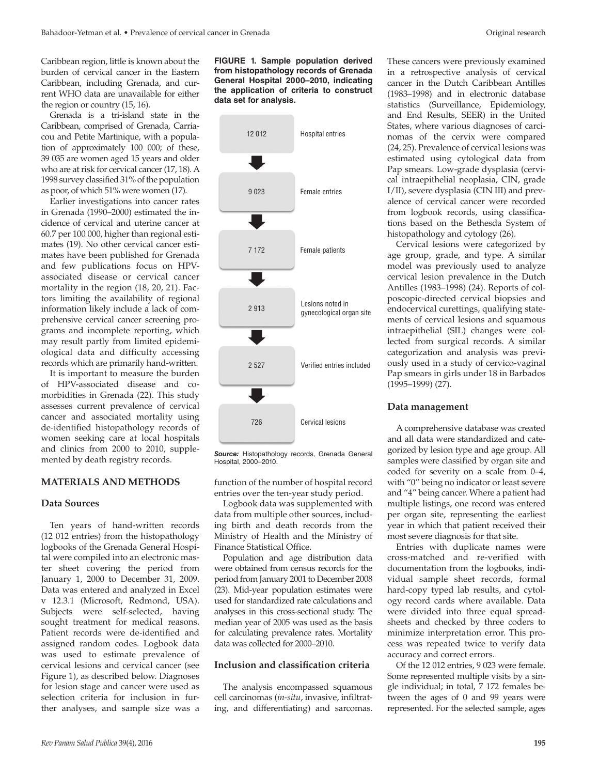Caribbean region, little is known about the burden of cervical cancer in the Eastern Caribbean, including Grenada, and current WHO data are unavailable for either the region or country (15, 16).

Grenada is a tri-island state in the Caribbean, comprised of Grenada, Carriacou and Petite Martinique, with a population of approximately 100 000; of these, 39 035 are women aged 15 years and older who are at risk for cervical cancer (17, 18). A 1998 survey classified 31% of the population as poor, of which 51% were women (17).

Earlier investigations into cancer rates in Grenada (1990–2000) estimated the incidence of cervical and uterine cancer at 60.7 per 100 000, higher than regional estimates (19). No other cervical cancer estimates have been published for Grenada and few publications focus on HPVassociated disease or cervical cancer mortality in the region (18, 20, 21). Factors limiting the availability of regional information likely include a lack of comprehensive cervical cancer screening programs and incomplete reporting, which may result partly from limited epidemiological data and difficulty accessing records which are primarily hand-written.

It is important to measure the burden of HPV-associated disease and comorbidities in Grenada (22). This study assesses current prevalence of cervical cancer and associated mortality using de-identified histopathology records of women seeking care at local hospitals and clinics from 2000 to 2010, supplemented by death registry records.

# **MATERIALS AND METHODS**

#### **Data Sources**

Ten years of hand-written records (12 012 entries) from the histopathology logbooks of the Grenada General Hospital were compiled into an electronic master sheet covering the period from January 1, 2000 to December 31, 2009. Data was entered and analyzed in Excel v 12.3.1 (Microsoft, Redmond, USA). Subjects were self-selected, having sought treatment for medical reasons. Patient records were de-identified and assigned random codes. Logbook data was used to estimate prevalence of cervical lesions and cervical cancer (see Figure 1), as described below. Diagnoses for lesion stage and cancer were used as selection criteria for inclusion in further analyses, and sample size was a

**FIGURE 1. Sample population derived from histopathology records of Grenada General Hospital 2000–2010, indicating the application of criteria to construct data set for analysis.**



*Source:* Histopathology records, Grenada General Hospital, 2000–2010.

function of the number of hospital record entries over the ten-year study period.

Logbook data was supplemented with data from multiple other sources, including birth and death records from the Ministry of Health and the Ministry of Finance Statistical Office.

Population and age distribution data were obtained from census records for the period from January 2001 to December 2008 (23). Mid-year population estimates were used for standardized rate calculations and analyses in this cross-sectional study. The median year of 2005 was used as the basis for calculating prevalence rates. Mortality data was collected for 2000–2010.

#### **Inclusion and classification criteria**

The analysis encompassed squamous cell carcinomas (*in-situ*, invasive, infiltrating, and differentiating) and sarcomas.

These cancers were previously examined in a retrospective analysis of cervical cancer in the Dutch Caribbean Antilles (1983–1998) and in electronic database statistics (Surveillance, Epidemiology, and End Results, SEER) in the United States, where various diagnoses of carcinomas of the cervix were compared (24, 25). Prevalence of cervical lesions was estimated using cytological data from Pap smears. Low-grade dysplasia (cervical intraepithelial neoplasia, CIN, grade I/II), severe dysplasia (CIN III) and prevalence of cervical cancer were recorded from logbook records, using classifications based on the Bethesda System of histopathology and cytology (26).

Cervical lesions were categorized by age group, grade, and type. A similar model was previously used to analyze cervical lesion prevalence in the Dutch Antilles (1983–1998) (24). Reports of colposcopic-directed cervical biopsies and endocervical curettings, qualifying statements of cervical lesions and squamous intraepithelial (SIL) changes were collected from surgical records. A similar categorization and analysis was previously used in a study of cervico-vaginal Pap smears in girls under 18 in Barbados (1995–1999) (27).

#### **Data management**

A comprehensive database was created and all data were standardized and categorized by lesion type and age group. All samples were classified by organ site and coded for severity on a scale from 0–4, with "0" being no indicator or least severe and "4" being cancer. Where a patient had multiple listings, one record was entered per organ site, representing the earliest year in which that patient received their most severe diagnosis for that site.

Entries with duplicate names were cross-matched and re-verified with documentation from the logbooks, individual sample sheet records, formal hard-copy typed lab results, and cytology record cards where available. Data were divided into three equal spreadsheets and checked by three coders to minimize interpretation error. This process was repeated twice to verify data accuracy and correct errors.

Of the 12 012 entries, 9 023 were female. Some represented multiple visits by a single individual; in total, 7 172 females between the ages of 0 and 99 years were represented. For the selected sample, ages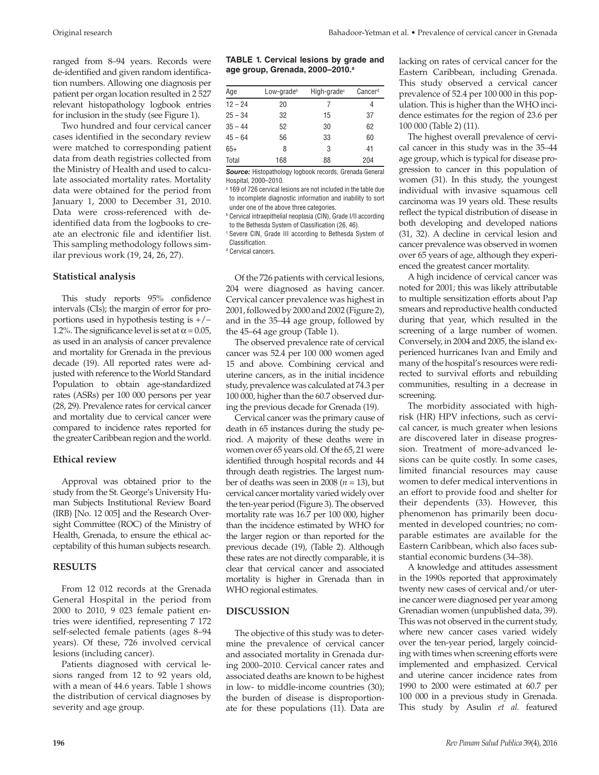ranged from 8–94 years. Records were de-identified and given random identification numbers. Allowing one diagnosis per patient per organ location resulted in 2 527 relevant histopathology logbook entries for inclusion in the study (see Figure 1).

Two hundred and four cervical cancer cases identified in the secondary review were matched to corresponding patient data from death registries collected from the Ministry of Health and used to calculate associated mortality rates. Mortality data were obtained for the period from January 1, 2000 to December 31, 2010. Data were cross-referenced with deidentified data from the logbooks to create an electronic file and identifier list. This sampling methodology follows similar previous work (19, 24, 26, 27).

### **Statistical analysis**

This study reports 95% confidence intervals (CIs); the margin of error for proportions used in hypothesis testing is +/− 1.2%. The significance level is set at  $\alpha$  = 0.05, as used in an analysis of cancer prevalence and mortality for Grenada in the previous decade (19). All reported rates were adjusted with reference to the World Standard Population to obtain age-standardized rates (ASRs) per 100 000 persons per year (28, 29). Prevalence rates for cervical cancer and mortality due to cervical cancer were compared to incidence rates reported for the greater Caribbean region and the world.

## **Ethical review**

Approval was obtained prior to the study from the St. George's University Human Subjects Institutional Review Board (IRB) [No. 12 005] and the Research Oversight Committee (ROC) of the Ministry of Health, Grenada, to ensure the ethical acceptability of this human subjects research.

# **RESULTS**

From 12 012 records at the Grenada General Hospital in the period from 2000 to 2010, 9 023 female patient entries were identified, representing 7 172 self-selected female patients (ages 8–94 years). Of these, 726 involved cervical lesions (including cancer).

Patients diagnosed with cervical lesions ranged from 12 to 92 years old, with a mean of 44.6 years. Table 1 shows the distribution of cervical diagnoses by severity and age group.

| Age       | Low-grade <sup>b</sup> | High-grade <sup>c</sup> | Cancerd |  |
|-----------|------------------------|-------------------------|---------|--|
| $12 - 24$ | 20                     | 7                       |         |  |
| $25 - 34$ | 32                     | 15                      | 37      |  |
| $35 - 44$ | 52                     | 30                      | 62      |  |
| $45 - 64$ | 56                     | 33                      | 60      |  |
| $65+$     | 8                      | 3                       | 41      |  |
| Total     | 168                    | 88                      | 204     |  |

*Source:* Histopathology logbook records, Grenada General Hospital, 2000–2010.

a 169 of 726 cervical lesions are not included in the table due to incomplete diagnostic information and inability to sort under one of the above three categories.

<sup>b</sup> Cervical intraepithelial neoplasia (CIN), Grade I/II according to the Bethesda System of Classification (26, 46).

<sup>c</sup> Severe CIN, Grade III according to Bethesda System of Classification.

<sup>d</sup> Cervical cancers.

Of the 726 patients with cervical lesions, 204 were diagnosed as having cancer. Cervical cancer prevalence was highest in 2001, followed by 2000 and 2002 (Figure 2), and in the 35–44 age group, followed by the 45–64 age group (Table 1).

The observed prevalence rate of cervical cancer was 52.4 per 100 000 women aged 15 and above. Combining cervical and uterine cancers, as in the initial incidence study, prevalence was calculated at 74.3 per 100 000, higher than the 60.7 observed during the previous decade for Grenada (19).

Cervical cancer was the primary cause of death in 65 instances during the study period. A majority of these deaths were in women over 65 years old. Of the 65, 21 were identified through hospital records and 44 through death registries. The largest number of deaths was seen in 2008 ( $n = 13$ ), but cervical cancer mortality varied widely over the ten-year period (Figure 3). The observed mortality rate was 16.7 per 100 000, higher than the incidence estimated by WHO for the larger region or than reported for the previous decade (19), (Table 2). Although these rates are not directly comparable, it is clear that cervical cancer and associated mortality is higher in Grenada than in WHO regional estimates.

# **DISCUSSION**

The objective of this study was to determine the prevalence of cervical cancer and associated mortality in Grenada during 2000–2010. Cervical cancer rates and associated deaths are known to be highest in low- to middle-income countries (30); the burden of disease is disproportionate for these populations (11). Data are lacking on rates of cervical cancer for the Eastern Caribbean, including Grenada. This study observed a cervical cancer prevalence of 52.4 per 100 000 in this population. This is higher than the WHO incidence estimates for the region of 23.6 per 100 000 (Table 2) (11).

The highest overall prevalence of cervical cancer in this study was in the 35–44 age group, which is typical for disease progression to cancer in this population of women (31). In this study, the youngest individual with invasive squamous cell carcinoma was 19 years old. These results reflect the typical distribution of disease in both developing and developed nations (31, 32). A decline in cervical lesion and cancer prevalence was observed in women over 65 years of age, although they experienced the greatest cancer mortality.

A high incidence of cervical cancer was noted for 2001; this was likely attributable to multiple sensitization efforts about Pap smears and reproductive health conducted during that year, which resulted in the screening of a large number of women. Conversely, in 2004 and 2005, the island experienced hurricanes Ivan and Emily and many of the hospital's resources were redirected to survival efforts and rebuilding communities, resulting in a decrease in screening.

The morbidity associated with highrisk (HR) HPV infections, such as cervical cancer, is much greater when lesions are discovered later in disease progression. Treatment of more-advanced lesions can be quite costly. In some cases, limited financial resources may cause women to defer medical interventions in an effort to provide food and shelter for their dependents (33). However, this phenomenon has primarily been documented in developed countries; no comparable estimates are available for the Eastern Caribbean, which also faces substantial economic burdens (34–38).

A knowledge and attitudes assessment in the 1990s reported that approximately twenty new cases of cervical and/or uterine cancer were diagnosed per year among Grenadian women (unpublished data, 39). This was not observed in the current study, where new cancer cases varied widely over the ten-year period, largely coinciding with times when screening efforts were implemented and emphasized. Cervical and uterine cancer incidence rates from 1990 to 2000 were estimated at 60.7 per 100 000 in a previous study in Grenada. This study by Asulin *et al.* featured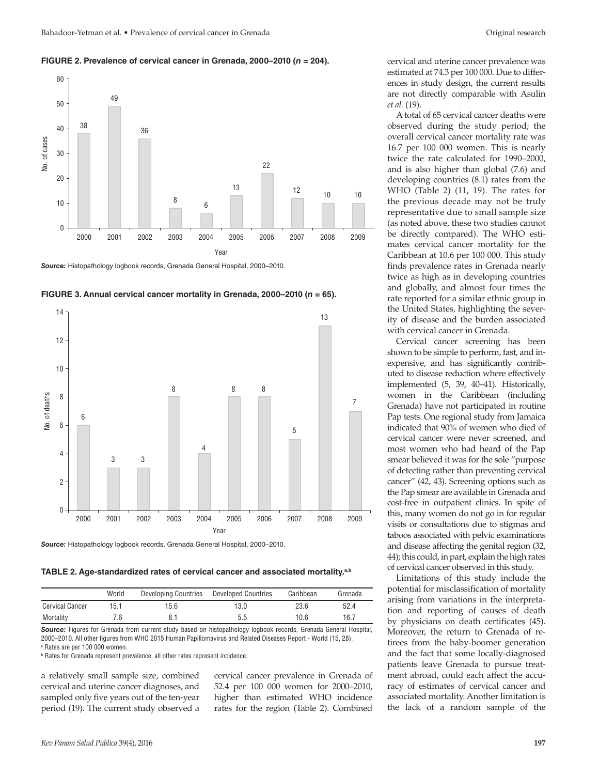#### **FIGURE 2. Prevalence of cervical cancer in Grenada, 2000–2010 (***n* **= 204).**



*Source:* Histopathology logbook records, Grenada General Hospital, 2000–2010.





*Source:* Histopathology logbook records, Grenada General Hospital, 2000–2010.

**TABLE 2. Age-standardized rates of cervical cancer and associated mortality.a,b**

|                        | World | <b>Developing Countries</b> | <b>Developed Countries</b> | Caribbean | Grenada |
|------------------------|-------|-----------------------------|----------------------------|-----------|---------|
| <b>Cervical Cancer</b> | 15.1  | 15.6                        | 13.0                       | 23.6      | 52.4    |
| Mortality              | ' ፍ   |                             | 5.5                        | 10.6      | 16.7    |

*Source:* Figures for Grenada from current study based on histopathology logbook records, Grenada General Hospital, 2000–2010. All other figures from WHO 2015 Human Papillomavirus and Related Diseases Report - World (15, 28). <sup>a</sup> Rates are per 100 000 women.

<sup>b</sup> Rates for Grenada represent prevalence, all other rates represent incidence.

a relatively small sample size, combined cervical and uterine cancer diagnoses, and sampled only five years out of the ten-year period (19). The current study observed a

cervical cancer prevalence in Grenada of 52.4 per 100 000 women for 2000–2010, higher than estimated WHO incidence rates for the region (Table 2). Combined

A total of 65 cervical cancer deaths were observed during the study period; the overall cervical cancer mortality rate was 16.7 per 100 000 women. This is nearly twice the rate calculated for 1990–2000, and is also higher than global (7.6) and developing countries (8.1) rates from the WHO (Table 2) (11, 19). The rates for the previous decade may not be truly representative due to small sample size (as noted above, these two studies cannot be directly compared). The WHO estimates cervical cancer mortality for the Caribbean at 10.6 per 100 000. This study finds prevalence rates in Grenada nearly twice as high as in developing countries and globally, and almost four times the rate reported for a similar ethnic group in the United States, highlighting the severity of disease and the burden associated with cervical cancer in Grenada.

Cervical cancer screening has been shown to be simple to perform, fast, and inexpensive, and has significantly contributed to disease reduction where effectively implemented (5, 39, 40–41). Historically, women in the Caribbean (including Grenada) have not participated in routine Pap tests. One regional study from Jamaica indicated that 90% of women who died of cervical cancer were never screened, and most women who had heard of the Pap smear believed it was for the sole "purpose of detecting rather than preventing cervical cancer" (42, 43). Screening options such as the Pap smear are available in Grenada and cost-free in outpatient clinics. In spite of this, many women do not go in for regular visits or consultations due to stigmas and taboos associated with pelvic examinations and disease affecting the genital region (32, 44); this could, in part, explain the high rates of cervical cancer observed in this study.

Limitations of this study include the potential for misclassification of mortality arising from variations in the interpretation and reporting of causes of death by physicians on death certificates (45). Moreover, the return to Grenada of retirees from the baby-boomer generation and the fact that some locally-diagnosed patients leave Grenada to pursue treatment abroad, could each affect the accuracy of estimates of cervical cancer and associated mortality. Another limitation is the lack of a random sample of the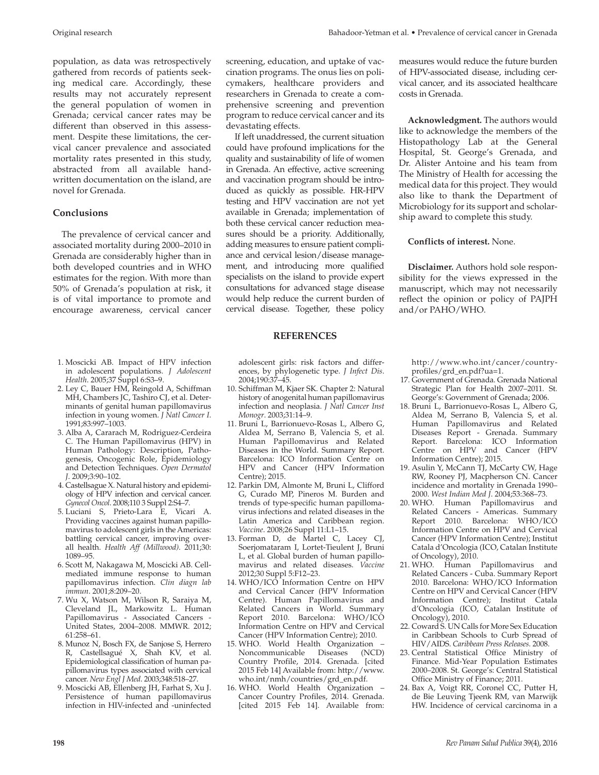population, as data was retrospectively gathered from records of patients seeking medical care. Accordingly, these results may not accurately represent the general population of women in Grenada; cervical cancer rates may be different than observed in this assessment. Despite these limitations, the cervical cancer prevalence and associated mortality rates presented in this study, abstracted from all available handwritten documentation on the island, are novel for Grenada.

# **Conclusions**

The prevalence of cervical cancer and associated mortality during 2000–2010 in Grenada are considerably higher than in both developed countries and in WHO estimates for the region. With more than 50% of Grenada's population at risk, it is of vital importance to promote and encourage awareness, cervical cancer

- 1. Moscicki AB. Impact of HPV infection in adolescent populations. *J Adolescent Health*. 2005;37 Suppl 6:S3–9.
- 2. Ley C, Bauer HM, Reingold A, Schiffman MH, Chambers JC, Tashiro CJ, et al. Determinants of genital human papillomavirus infection in young women. *J Natl Cancer I*. 1991;83:997–1003.
- 3. Alba A, Cararach M, Rodriguez-Cerdeira C. The Human Papillomavirus (HPV) in Human Pathology: Description, Pathogenesis, Oncogenic Role, Epidemiology and Detection Techniques. *Open Dermatol J*. 2009;3:90–102.
- 4. Castellsague X. Natural history and epidemiology of HPV infection and cervical cancer. *Gynecol Oncol*. 2008;110 3 Suppl 2:S4–7.
- 5. Luciani S, Prieto-Lara E, Vicari A. Providing vaccines against human papillomavirus to adolescent girls in the Americas: battling cervical cancer, improving overall health. *Health Aff (Millwood)*. 2011;30: 1089–95.
- 6. Scott M, Nakagawa M, Moscicki AB. Cellmediated immune response to human papillomavirus infection. *Clin diagn lab immun*. 2001;8:209–20.
- 7. Wu X, Watson M, Wilson R, Saraiya M, Cleveland JL, Markowitz L. Human Papillomavirus - Associated Cancers - United States, 2004–2008. MMWR. 2012; 61:258–61.
- 8. Munoz N, Bosch FX, de Sanjose S, Herrero R, Castellsagué X, Shah KV, et al. Epidemiological classification of human papillomavirus types associated with cervical cancer. *New Engl J Med*. 2003;348:518–27.
- 9. Moscicki AB, Ellenberg JH, Farhat S, Xu J. Persistence of human papillomavirus infection in HIV-infected and -uninfected

screening, education, and uptake of vaccination programs. The onus lies on policymakers, healthcare providers and researchers in Grenada to create a comprehensive screening and prevention program to reduce cervical cancer and its devastating effects.

If left unaddressed, the current situation could have profound implications for the quality and sustainability of life of women in Grenada. An effective, active screening and vaccination program should be introduced as quickly as possible. HR-HPV testing and HPV vaccination are not yet available in Grenada; implementation of both these cervical cancer reduction measures should be a priority. Additionally, adding measures to ensure patient compliance and cervical lesion/disease management, and introducing more qualified specialists on the island to provide expert consultations for advanced stage disease would help reduce the current burden of cervical disease. Together, these policy

## **REFERENCES**

adolescent girls: risk factors and differences, by phylogenetic type. *J Infect Dis*. 2004;190:37–45.

- 10. Schiffman M, Kjaer SK. Chapter 2: Natural history of anogenital human papillomavirus infection and neoplasia. *J Natl Cancer Inst Monogr*. 2003;31:14–9.
- 11. Bruni L, Barrionuevo-Rosas L, Albero G, Aldea M, Serrano B, Valencia S, et al. Human Papillomavirus and Related Diseases in the World. Summary Report. Barcelona: ICO Information Centre on HPV and Cancer (HPV Information Centre); 2015.
- 12. Parkin DM, Almonte M, Bruni L, Clifford G, Curado MP, Pineros M. Burden and trends of type-specific human papillomavirus infections and related diseases in the Latin America and Caribbean region. *Vaccine*. 2008;26 Suppl 11:L1–15.
- 13. Forman D, de Martel C, Lacey CJ, Soerjomataram I, Lortet-Tieulent J, Bruni L, et al. Global burden of human papillomavirus and related diseases. *Vaccine* 2012;30 Suppl 5:F12–23.
- 14. WHO/ICO Information Centre on HPV and Cervical Cancer (HPV Information Centre). Human Papillomavirus and Related Cancers in World. Summary Report 2010. Barcelona: WHO/ICO Information Centre on HPV and Cervical Cancer (HPV Information Centre); 2010.
- 15. WHO. World Health Organization Noncommunicable Diseases Country Profile, 2014. Grenada. [cited 2015 Feb 14] Available from: [http://www.](http://www.who.int/nmh/countries/grd_en.pdf.) [who.int/nmh/countries/grd\\_en.pdf.](http://www.who.int/nmh/countries/grd_en.pdf.)
- 16. WHO. World Health Organization Cancer Country Profiles, 2014. Grenada. [cited 2015 Feb 14]. Available from:

measures would reduce the future burden of HPV-associated disease, including cervical cancer, and its associated healthcare costs in Grenada.

**Acknowledgment.** The authors would like to acknowledge the members of the Histopathology Lab at the General Hospital, St. George's Grenada, and Dr. Alister Antoine and his team from The Ministry of Health for accessing the medical data for this project. They would also like to thank the Department of Microbiology for its support and scholarship award to complete this study.

### **Conflicts of interest.** None.

**Disclaimer.** Authors hold sole responsibility for the views expressed in the manuscript, which may not necessarily reflect the opinion or policy of PAJPH and/or PAHO/WHO.

[http://www.who.int/cancer/country](http://www.who.int/cancer/country-profiles/grd_en.pdf?ua=1.)[profiles/grd\\_en.pdf?ua=1.](http://www.who.int/cancer/country-profiles/grd_en.pdf?ua=1.)

- 17. Government of Grenada. Grenada National Strategic Plan for Health 2007–2011. St. George's: Government of Grenada; 2006.
- 18. Bruni L, Barrionuevo-Rosas L, Albero G, Aldea M, Serrano B, Valencia S, et al. Human Papillomavirus and Related Diseases Report - Grenada. Summary Report. Barcelona: ICO Information Centre on HPV and Cancer (HPV Information Centre); 2015.
- 19. Asulin Y, McCann TJ, McCarty CW, Hage RW, Rooney PJ, Macpherson CN. Cancer incidence and mortality in Grenada 1990– 2000. *West Indian Med J*. 2004;53:368–73.
- 20. WHO. Human Papillomavirus and Related Cancers - Americas. Summary Report 2010. Barcelona: WHO/ICO Information Centre on HPV and Cervical Cancer (HPV Information Centre); Institut Catala d'Oncologia (ICO, Catalan Institute of Oncology), 2010.
- 21. WHO. Human Papillomavirus and Related Cancers - Cuba. Summary Report 2010. Barcelona: WHO/ICO Information Centre on HPV and Cervical Cancer (HPV Information Centre); Institut Catala d'Oncologia (ICO, Catalan Institute of Oncology), 2010.
- 22. Coward S. UN Calls for More Sex Education in Caribbean Schools to Curb Spread of HIV/AIDS. *Caribbean Press Releases.* 2008.
- 23. Central Statistical Office Ministry of Finance. Mid-Year Population Estimates 2000–2008. St. George's: Central Statistical Office Ministry of Finance; 2011.
- 24. Bax A, Voigt RR, Coronel CC, Putter H, de Bie Leuving Tjeenk RM, van Marwijk HW. Incidence of cervical carcinoma in a